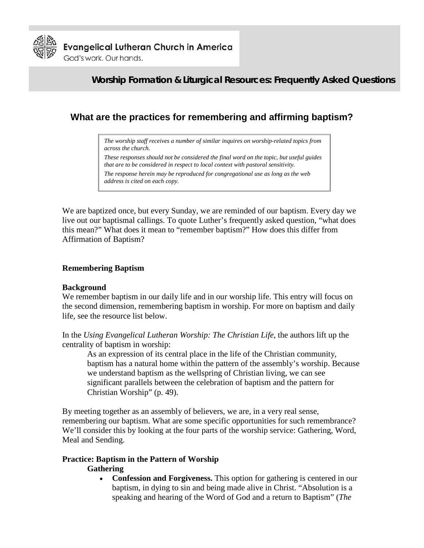

**Evangelical Lutheran Church in America** God's work. Our hands.

**Worship Formation & Liturgical Resources: Frequently Asked Questions**

# **What are the practices for remembering and affirming baptism?**

*The worship staff receives a number of similar inquires on worship-related topics from across the church.* 

*These responses should not be considered the final word on the topic, but useful guides that are to be considered in respect to local context with pastoral sensitivity.* 

*The response herein may be reproduced for congregational use as long as the web address is cited on each copy.* 

We are baptized once, but every Sunday, we are reminded of our baptism. Every day we live out our baptismal callings. To quote Luther's frequently asked question, "what does this mean?" What does it mean to "remember baptism?" How does this differ from Affirmation of Baptism?

### **Remembering Baptism**

#### **Background**

We remember baptism in our daily life and in our worship life. This entry will focus on the second dimension, remembering baptism in worship. For more on baptism and daily life, see the resource list below.

In the *Using Evangelical Lutheran Worship: The Christian Life*, the authors lift up the centrality of baptism in worship:

As an expression of its central place in the life of the Christian community, baptism has a natural home within the pattern of the assembly's worship. Because we understand baptism as the wellspring of Christian living, we can see significant parallels between the celebration of baptism and the pattern for Christian Worship" (p. 49).

By meeting together as an assembly of believers, we are, in a very real sense, remembering our baptism. What are some specific opportunities for such remembrance? We'll consider this by looking at the four parts of the worship service: Gathering, Word, Meal and Sending.

# **Practice: Baptism in the Pattern of Worship**

#### **Gathering**

• **Confession and Forgiveness.** This option for gathering is centered in our baptism, in dying to sin and being made alive in Christ. "Absolution is a speaking and hearing of the Word of God and a return to Baptism" (*The*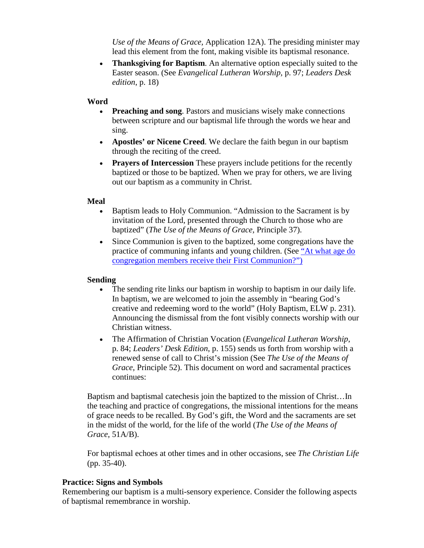*Use of the Means of Grace,* Application 12A). The presiding minister may lead this element from the font, making visible its baptismal resonance.

• **Thanksgiving for Baptism**. An alternative option especially suited to the Easter season. (See *Evangelical Lutheran Worship,* p. 97; *Leaders Desk edition*, p. 18)

### **Word**

- **Preaching and song**. Pastors and musicians wisely make connections between scripture and our baptismal life through the words we hear and sing.
- **Apostles' or Nicene Creed**. We declare the faith begun in our baptism through the reciting of the creed.
- **Prayers of Intercession** These prayers include petitions for the recently baptized or those to be baptized. When we pray for others, we are living out our baptism as a community in Christ.

### **Meal**

- Baptism leads to Holy Communion. "Admission to the Sacrament is by invitation of the Lord, presented through the Church to those who are baptized" (*The Use of the Means of Grace,* Principle 37).
- Since Communion is given to the baptized, some congregations have the practice of communing infants and young children. (See "At what age do [congregation members receive their First Communion?"\)](http://www.elca.org/worshipfaq)

#### **Sending**

- The sending rite links our baptism in worship to baptism in our daily life. In baptism, we are welcomed to join the assembly in "bearing God's creative and redeeming word to the world" (Holy Baptism, ELW p. 231). Announcing the dismissal from the font visibly connects worship with our Christian witness.
- The Affirmation of Christian Vocation (*Evangelical Lutheran Worship*, p. 84; *Leaders' Desk Edition*, p. 155) sends us forth from worship with a renewed sense of call to Christ's mission (See *The Use of the Means of Grace*, Principle 52). This document on word and sacramental practices continues:

Baptism and baptismal catechesis join the baptized to the mission of Christ…In the teaching and practice of congregations, the missional intentions for the means of grace needs to be recalled. By God's gift, the Word and the sacraments are set in the midst of the world, for the life of the world (*The Use of the Means of Grace*, 51A/B).

For baptismal echoes at other times and in other occasions, see *The Christian Life* (pp. 35-40).

#### **Practice: Signs and Symbols**

Remembering our baptism is a multi-sensory experience. Consider the following aspects of baptismal remembrance in worship.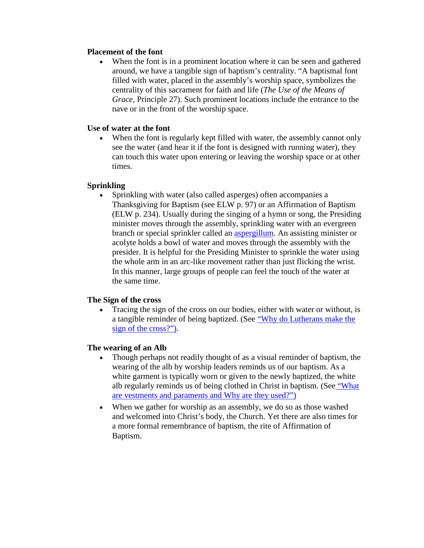#### **Placement of the font**

• When the font is in a prominent location where it can be seen and gathered around, we have a tangible sign of baptism's centrality. "A baptismal font filled with water, placed in the assembly's worship space, symbolizes the centrality of this sacrament for faith and life (*The Use of the Means of Grace,* Principle 27). Such prominent locations include the entrance to the nave or in the front of the worship space.

# **Use of water at the font**

When the font is regularly kept filled with water, the assembly cannot only see the water (and hear it if the font is designed with running water), they can touch this water upon entering or leaving the worship space or at other times.

### **Sprinkling**

• Sprinkling with water (also called asperges) often accompanies a Thanksgiving for Baptism (see ELW p. 97) or an Affirmation of Baptism (ELW p. 234). Usually during the singing of a hymn or song, the Presiding minister moves through the assembly, sprinkling water with an evergreen branch or special sprinkler called an [aspergillum.](http://www.mvchurchgoods.com/listing.lasso?id=water&label=incense) An assisting minister or acolyte holds a bowl of water and moves through the assembly with the presider. It is helpful for the Presiding Minister to sprinkle the water using the whole arm in an arc-like movement rather than just flicking the wrist. In this manner, large groups of people can feel the touch of the water at the same time.

# **The Sign of the cross**

• Tracing the sign of the cross on our bodies, either with water or without, is a tangible reminder of being baptized. [\(See "Why do Lutherans make the](http://www.elca.org/worshipfaq)  [sign of the cross?"\).](http://www.elca.org/worshipfaq)

#### **The wearing of an Alb**

- Though perhaps not readily thought of as a visual reminder of baptism, the wearing of the alb by worship leaders reminds us of our baptism. As a white garment is typically worn or given to the newly baptized, the white alb regularly reminds us of being clothed in Christ in baptism. (See ["What](http://www.elca.org/worshipfaq)  [are vestments and paraments and Why are they used?"\)](http://www.elca.org/worshipfaq)
- When we gather for worship as an assembly, we do so as those washed and welcomed into Christ's body, the Church. Yet there are also times for a more formal remembrance of baptism, the rite of Affirmation of Baptism.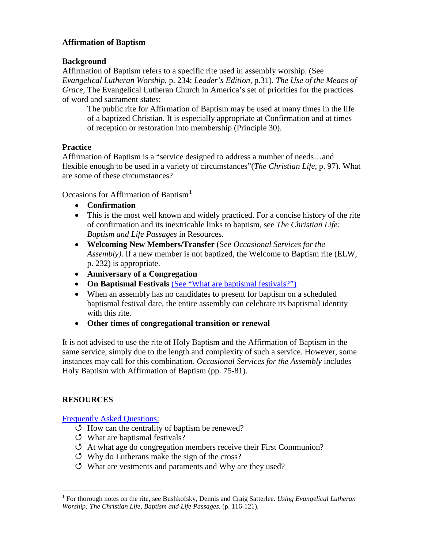# **Affirmation of Baptism**

# **Background**

Affirmation of Baptism refers to a specific rite used in assembly worship. (See *Evangelical Lutheran Worship*, p. 234; *Leader's Edition*, p.31). *The Use of the Means of Grace,* The Evangelical Lutheran Church in America's set of priorities for the practices of word and sacrament states:

The public rite for Affirmation of Baptism may be used at many times in the life of a baptized Christian. It is especially appropriate at Confirmation and at times of reception or restoration into membership (Principle 30).

# **Practice**

Affirmation of Baptism is a "service designed to address a number of needs…and flexible enough to be used in a variety of circumstances"(*The Christian Life,* p. 97). What are some of these circumstances?

Occasions for Affirmation of Baptism<sup>[1](#page-3-0)</sup>

- **Confirmation**
- This is the most well known and widely practiced. For a concise history of the rite of confirmation and its inextricable links to baptism, see *The Christian Life: Baptism and Life Passages* in Resources.
- **Welcoming New Members/Transfer** (See *Occasional Services for the Assembly)*. If a new member is not baptized, the Welcome to Baptism rite (ELW, p. 232) is appropriate.
- **Anniversary of a Congregation**
- On Baptismal Festivals [\(See "What are baptismal festivals?"\)](http://www.elca.org/worshipfaq)
- When an assembly has no candidates to present for baptism on a scheduled baptismal festival date, the entire assembly can celebrate its baptismal identity with this rite.
- **Other times of congregational transition or renewal**

It is not advised to use the rite of Holy Baptism and the Affirmation of Baptism in the same service, simply due to the length and complexity of such a service. However, some instances may call for this combination. *Occasional Services for the Assembly* includes Holy Baptism with Affirmation of Baptism (pp. 75-81).

# **RESOURCES**

[Frequently Asked Questions:](http://www.elca.org/worshipfaq)

- $\circ$  How can the centrality of baptism be renewed?
- What are baptismal festivals?
- At what age do congregation members receive their First Communion?
- Why do Lutherans make the sign of the cross?
- What are vestments and paraments and Why are they used?

<span id="page-3-0"></span> <sup>1</sup> For thorough notes on the rite, see Bushkofsky, Dennis and Craig Satterlee. *Using Evangelical Lutheran Worship: The Christian Life, Baptism and Life Passages.* (p. 116-121).